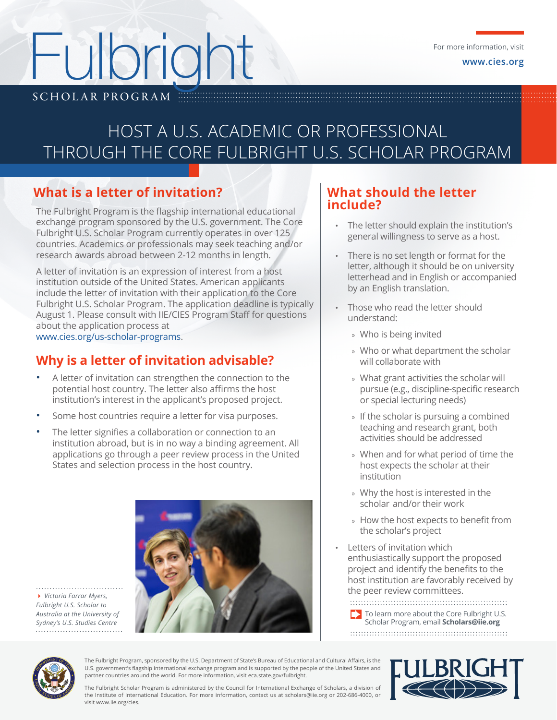# SCHOLAR PROGRAM ... Fulbright

# HOST A U.S. ACADEMIC OR PROFESSIONAL THROUGH THE CORE FULBRIGHT U.S. SCHOLAR PROGRAM

## **What is a letter of invitation?**

The Fulbright Program is the flagship international educational exchange program sponsored by the U.S. government. The Core Fulbright U.S. Scholar Program currently operates in over 125 countries. Academics or professionals may seek teaching and/or research awards abroad between 2-12 months in length.

A letter of invitation is an expression of interest from a host institution outside of the United States. American applicants include the letter of invitation with their application to the Core Fulbright U.S. Scholar Program. The application deadline is typically August 1. Please consult with IIE/CIES Program Staff for questions about the application process at www.cies.org/us-scholar-programs.

### **Why is a letter of invitation advisable?**

- A letter of invitation can strengthen the connection to the potential host country. The letter also affirms the host institution's interest in the applicant's proposed project.
- Some host countries require a letter for visa purposes.
- The letter signifies a collaboration or connection to an institution abroad, but is in no way a binding agreement. All applications go through a peer review process in the United States and selection process in the host country.



4 *Victoria Farrar Myers, Fulbright U.S. Scholar to Australia at the University of Sydney's U.S. Studies Centre*

#### **What should the letter include?**

- The letter should explain the institution's general willingness to serve as a host.
- There is no set length or format for the letter, although it should be on university letterhead and in English or accompanied by an English translation.
- Those who read the letter should understand:
	- » Who is being invited
	- » Who or what department the scholar will collaborate with
	- » What grant activities the scholar will pursue (e.g., discipline-specific research or special lecturing needs)
	- » If the scholar is pursuing a combined teaching and research grant, both activities should be addressed
	- » When and for what period of time the host expects the scholar at their institution
	- » Why the host is interested in the scholar and/or their work
	- » How the host expects to benefit from the scholar's project
- Letters of invitation which enthusiastically support the proposed project and identify the benefits to the host institution are favorably received by the peer review committees.

To learn more about the Core Fulbright U.S. Scholar Program, email **Scholars@iie.org**



The Fulbright Program, sponsored by the U.S. Department of State's Bureau of Educational and Cultural Affairs, is the U.S. government's flagship international exchange program and is supported by the people of the United States and partner countries around the world. For more information, visit eca.state.gov/fulbright.



The Fulbright Scholar Program is administered by the Council for International Exchange of Scholars, a division of the Institute of International Education. For more information, contact us at scholars@iie.org or 202-686-4000, or visit www.iie.org/cies.